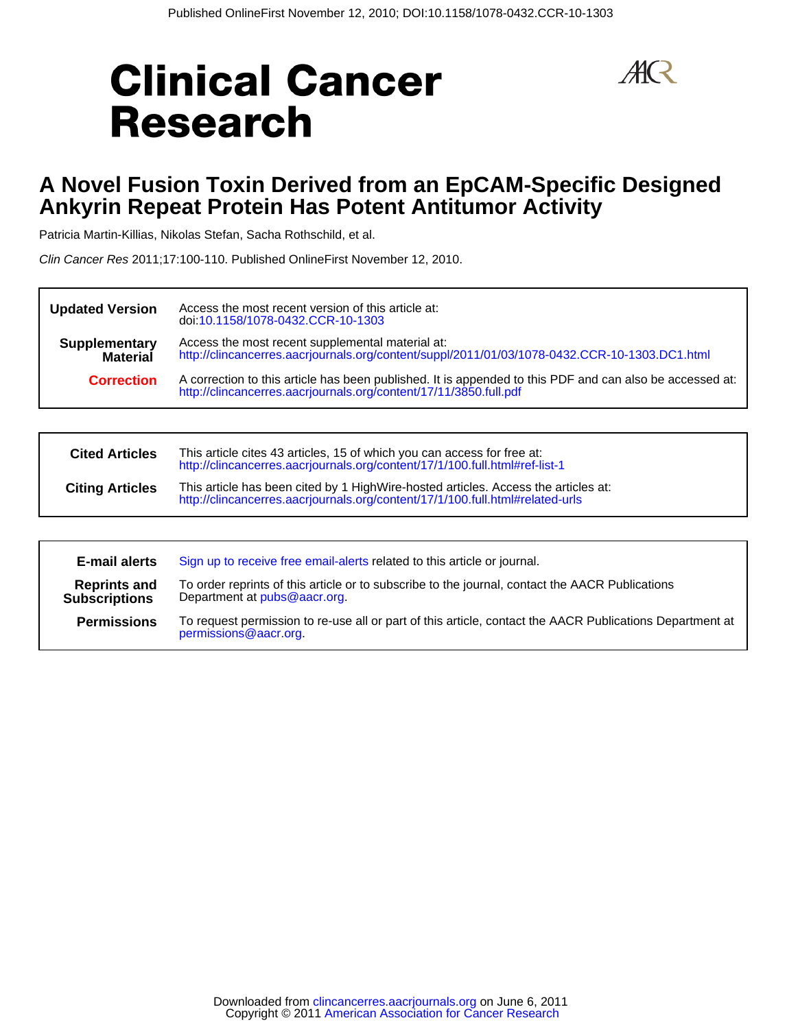# **Clinical Cancer Research**



# **Ankyrin Repeat Protein Has Potent Antitumor Activity A Novel Fusion Toxin Derived from an EpCAM-Specific Designed**

Patricia Martin-Killias, Nikolas Stefan, Sacha Rothschild, et al.

Clin Cancer Res 2011;17:100-110. Published OnlineFirst November 12, 2010.

| <b>Updated Version</b>                  | Access the most recent version of this article at:<br>doi:10.1158/1078-0432.CCR-10-1303                                                                                       |
|-----------------------------------------|-------------------------------------------------------------------------------------------------------------------------------------------------------------------------------|
| <b>Supplementary</b><br><b>Material</b> | Access the most recent supplemental material at:<br>http://clincancerres.aacrjournals.org/content/suppl/2011/01/03/1078-0432.CCR-10-1303.DC1.html                             |
| <b>Correction</b>                       | A correction to this article has been published. It is appended to this PDF and can also be accessed at:<br>http://clincancerres.aacrjournals.org/content/17/11/3850.full.pdf |

| <b>Cited Articles</b>  | This article cites 43 articles, 15 of which you can access for free at:<br>http://clincancerres.aacrjournals.org/content/17/1/100.full.html#ref-list-1              |
|------------------------|---------------------------------------------------------------------------------------------------------------------------------------------------------------------|
| <b>Citing Articles</b> | This article has been cited by 1 HighWire-hosted articles. Access the articles at:<br>http://clincancerres.aacrjournals.org/content/17/1/100.full.html#related-urls |

| <b>E-mail alerts</b>                        | Sign up to receive free email-alerts related to this article or journal.                                                          |
|---------------------------------------------|-----------------------------------------------------------------------------------------------------------------------------------|
| <b>Reprints and</b><br><b>Subscriptions</b> | To order reprints of this article or to subscribe to the journal, contact the AACR Publications<br>Department at pubs@aacr.org.   |
| <b>Permissions</b>                          | To request permission to re-use all or part of this article, contact the AACR Publications Department at<br>permissions@aacr.org. |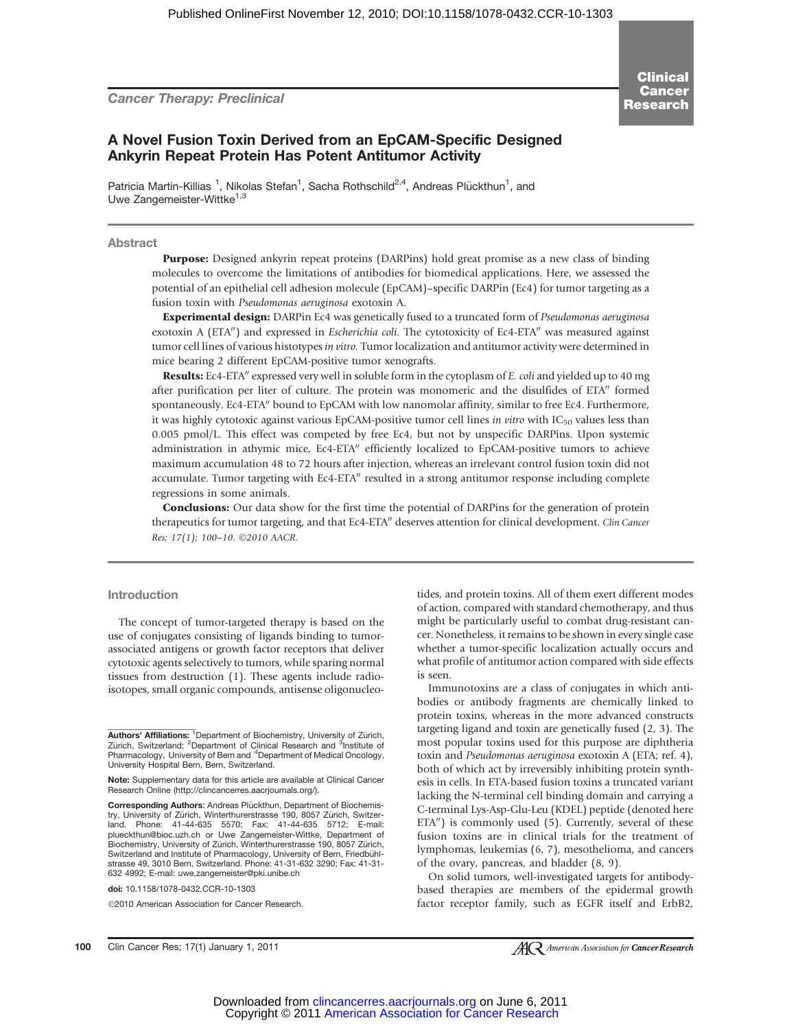Cancer Therapy: Preclinical

Clinical Cancer Research

## A Novel Fusion Toxin Derived from an EpCAM-Specific Designed Ankyrin Repeat Protein Has Potent Antitumor Activity

Patricia Martin-Killias <sup>1</sup>, Nikolas Stefan<sup>1</sup>, Sacha Rothschild<sup>2,4</sup>, Andreas Plückthun<sup>1</sup>, and Uwe Zangemeister-Wittke<sup>1,3</sup>

#### Abstract

Purpose: Designed ankyrin repeat proteins (DARPins) hold great promise as a new class of binding molecules to overcome the limitations of antibodies for biomedical applications. Here, we assessed the potential of an epithelial cell adhesion molecule (EpCAM)–specific DARPin (Ec4) for tumor targeting as a fusion toxin with Pseudomonas aeruginosa exotoxin A.

Experimental design: DARPin Ec4 was genetically fused to a truncated form of Pseudomonas aeruginosa exotoxin A (ETA") and expressed in *Escherichia coli*. The cytotoxicity of Ec4-ETA" was measured against tumor cell lines of various histotypes in vitro. Tumor localization and antitumor activity were determined in mice bearing 2 different EpCAM-positive tumor xenografts.

**Results:** Ec4-ETA<sup>"</sup> expressed very well in soluble form in the cytoplasm of E. coli and yielded up to 40 mg after purification per liter of culture. The protein was monomeric and the disulfides of ETA" formed spontaneously. Ec4-ETA" bound to EpCAM with low nanomolar affinity, similar to free Ec4. Furthermore, it was highly cytotoxic against various EpCAM-positive tumor cell lines in vitro with  $IC_{50}$  values less than 0.005 pmol/L. This effect was competed by free Ec4, but not by unspecific DARPins. Upon systemic administration in athymic mice, Ec4-ETA" efficiently localized to EpCAM-positive tumors to achieve maximum accumulation 48 to 72 hours after injection, whereas an irrelevant control fusion toxin did not accumulate. Tumor targeting with Ec4-ETA" resulted in a strong antitumor response including complete regressions in some animals.

**Conclusions:** Our data show for the first time the potential of DARPins for the generation of protein therapeutics for tumor targeting, and that Ec4-ETA" deserves attention for clinical development. Clin Cancer Res; 17(1); 100-10. 2010 AACR.

#### Introduction

The concept of tumor-targeted therapy is based on the use of conjugates consisting of ligands binding to tumorassociated antigens or growth factor receptors that deliver cytotoxic agents selectively to tumors, while sparing normal tissues from destruction (1). These agents include radioisotopes, small organic compounds, antisense oligonucleo-

doi: 10.1158/1078-0432.CCR-10-1303

2010 American Association for Cancer Research.

tides, and protein toxins. All of them exert different modes of action, compared with standard chemotherapy, and thus might be particularly useful to combat drug-resistant cancer. Nonetheless, it remains to be shown in every single case whether a tumor-specific localization actually occurs and what profile of antitumor action compared with side effects is seen.

Immunotoxins are a class of conjugates in which antibodies or antibody fragments are chemically linked to protein toxins, whereas in the more advanced constructs targeting ligand and toxin are genetically fused (2, 3). The most popular toxins used for this purpose are diphtheria toxin and Pseudomonas aeruginosa exotoxin A (ETA; ref. 4), both of which act by irreversibly inhibiting protein synthesis in cells. In ETA-based fusion toxins a truncated variant lacking the N-terminal cell binding domain and carrying a C-terminal Lys-Asp-Glu-Leu (KDEL) peptide (denoted here  $ETA'$ ) is commonly used (5). Currently, several of these fusion toxins are in clinical trials for the treatment of lymphomas, leukemias (6, 7), mesothelioma, and cancers of the ovary, pancreas, and bladder (8, 9).

On solid tumors, well-investigated targets for antibodybased therapies are members of the epidermal growth factor receptor family, such as EGFR itself and ErbB2,

100 Clin Cancer Res; 17(1) January 1, 2011

**Authors' Affiliations:** <sup>1</sup>Department of Biochemistry, University of Zürich,<br>Zürich, Switzerland; <sup>2</sup>Department of Clinical Research and <sup>3</sup>Institute of Pharmacology, University of Bern and <sup>4</sup>Department of Medical Oncology, University Hospital Bern, Bern, Switzerland.

Note: Supplementary data for this article are available at Clinical Cancer Research Online (http://clincancerres.aacrjournals.org/).

Corresponding Authors: Andreas Plückthun, Department of Biochemistry, University of Zürich, Winterthurerstrasse 190, 8057 Zürich, Switzerland. Phone: 41-44-635 5570; Fax: 41-44-635 5712; E-mail: plueckthun@bioc.uzh.ch or Uwe Zangemeister-Wittke, Department of<br>Biochemistry, University of Zürich, Winterthurerstrasse 190, 8057 Zürich, Switzerland and Institute of Pharmacology, University of Bern, Friedbühlstrasse 49, 3010 Bern, Switzerland. Phone: 41-31-632 3290; Fax: 41-31- 632 4992; E-mail: uwe.zangemeister@pki.unibe.ch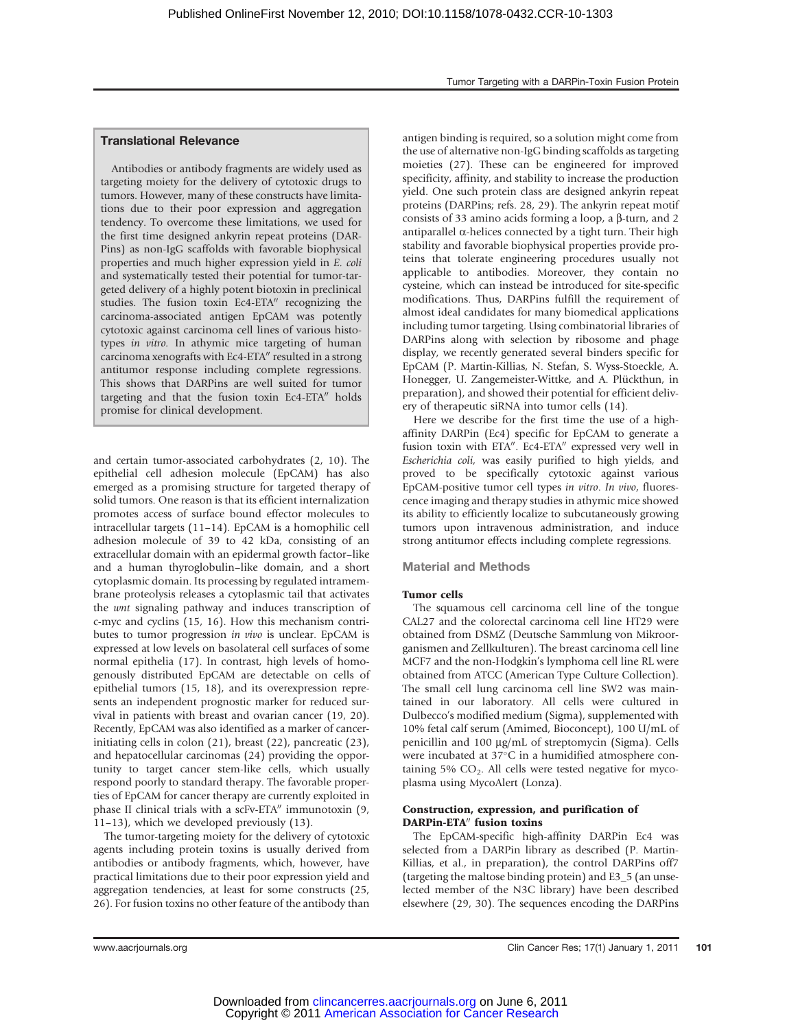## Translational Relevance

Antibodies or antibody fragments are widely used as targeting moiety for the delivery of cytotoxic drugs to tumors. However, many of these constructs have limitations due to their poor expression and aggregation tendency. To overcome these limitations, we used for the first time designed ankyrin repeat proteins (DAR-Pins) as non-IgG scaffolds with favorable biophysical properties and much higher expression yield in E. coli and systematically tested their potential for tumor-targeted delivery of a highly potent biotoxin in preclinical studies. The fusion toxin Ec4-ETA" recognizing the carcinoma-associated antigen EpCAM was potently cytotoxic against carcinoma cell lines of various histotypes in vitro. In athymic mice targeting of human carcinoma xenografts with Ec4-ETA" resulted in a strong antitumor response including complete regressions. This shows that DARPins are well suited for tumor targeting and that the fusion toxin  $Ec4-ETA''$  holds promise for clinical development.

and certain tumor-associated carbohydrates (2, 10). The epithelial cell adhesion molecule (EpCAM) has also emerged as a promising structure for targeted therapy of solid tumors. One reason is that its efficient internalization promotes access of surface bound effector molecules to intracellular targets (11–14). EpCAM is a homophilic cell adhesion molecule of 39 to 42 kDa, consisting of an extracellular domain with an epidermal growth factor–like and a human thyroglobulin–like domain, and a short cytoplasmic domain. Its processing by regulated intramembrane proteolysis releases a cytoplasmic tail that activates the wnt signaling pathway and induces transcription of c-myc and cyclins (15, 16). How this mechanism contributes to tumor progression in vivo is unclear. EpCAM is expressed at low levels on basolateral cell surfaces of some normal epithelia (17). In contrast, high levels of homogenously distributed EpCAM are detectable on cells of epithelial tumors (15, 18), and its overexpression represents an independent prognostic marker for reduced survival in patients with breast and ovarian cancer (19, 20). Recently, EpCAM was also identified as a marker of cancerinitiating cells in colon (21), breast (22), pancreatic (23), and hepatocellular carcinomas (24) providing the opportunity to target cancer stem-like cells, which usually respond poorly to standard therapy. The favorable properties of EpCAM for cancer therapy are currently exploited in phase II clinical trials with a  $s$ cFv-ETA $\prime\prime$  immunotoxin (9, 11–13), which we developed previously (13).

The tumor-targeting moiety for the delivery of cytotoxic agents including protein toxins is usually derived from antibodies or antibody fragments, which, however, have practical limitations due to their poor expression yield and aggregation tendencies, at least for some constructs (25, 26). For fusion toxins no other feature of the antibody than antigen binding is required, so a solution might come from the use of alternative non-IgG binding scaffolds as targeting moieties (27). These can be engineered for improved specificity, affinity, and stability to increase the production yield. One such protein class are designed ankyrin repeat proteins (DARPins; refs. 28, 29). The ankyrin repeat motif consists of 33 amino acids forming a loop, a  $\beta$ -turn, and 2 antiparallel  $\alpha$ -helices connected by a tight turn. Their high stability and favorable biophysical properties provide proteins that tolerate engineering procedures usually not applicable to antibodies. Moreover, they contain no cysteine, which can instead be introduced for site-specific modifications. Thus, DARPins fulfill the requirement of almost ideal candidates for many biomedical applications including tumor targeting. Using combinatorial libraries of DARPins along with selection by ribosome and phage display, we recently generated several binders specific for EpCAM (P. Martin-Killias, N. Stefan, S. Wyss-Stoeckle, A. Honegger, U. Zangemeister-Wittke, and A. Plückthun, in preparation), and showed their potential for efficient delivery of therapeutic siRNA into tumor cells (14).

Here we describe for the first time the use of a highaffinity DARPin (Ec4) specific for EpCAM to generate a fusion toxin with ETA". Ec4-ETA" expressed very well in Escherichia coli, was easily purified to high yields, and proved to be specifically cytotoxic against various EpCAM-positive tumor cell types in vitro. In vivo, fluorescence imaging and therapy studies in athymic mice showed its ability to efficiently localize to subcutaneously growing tumors upon intravenous administration, and induce strong antitumor effects including complete regressions.

## Material and Methods

#### Tumor cells

The squamous cell carcinoma cell line of the tongue CAL27 and the colorectal carcinoma cell line HT29 were obtained from DSMZ (Deutsche Sammlung von Mikroorganismen and Zellkulturen). The breast carcinoma cell line MCF7 and the non-Hodgkin's lymphoma cell line RL were obtained from ATCC (American Type Culture Collection). The small cell lung carcinoma cell line SW2 was maintained in our laboratory. All cells were cultured in Dulbecco's modified medium (Sigma), supplemented with 10% fetal calf serum (Amimed, Bioconcept), 100 U/mL of penicillin and 100 µg/mL of streptomycin (Sigma). Cells were incubated at 37°C in a humidified atmosphere containing 5%  $CO<sub>2</sub>$ . All cells were tested negative for mycoplasma using MycoAlert (Lonza).

## Construction, expression, and purification of DARPin-ETA" fusion toxins

The EpCAM-specific high-affinity DARPin Ec4 was selected from a DARPin library as described (P. Martin-Killias, et al., in preparation), the control DARPins off7 (targeting the maltose binding protein) and E3\_5 (an unselected member of the N3C library) have been described elsewhere (29, 30). The sequences encoding the DARPins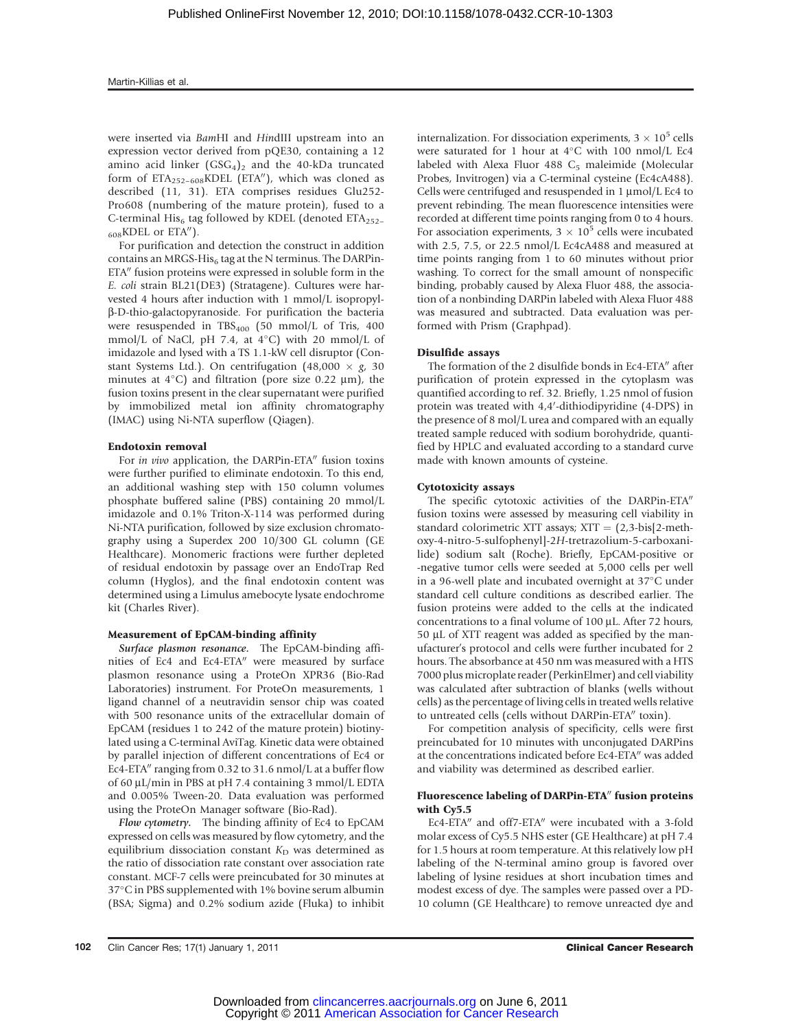were inserted via BamHI and HindIII upstream into an expression vector derived from pQE30, containing a 12 amino acid linker  $(GSG<sub>4</sub>)<sub>2</sub>$  and the 40-kDa truncated form of  $ETA_{252-608}KDEL$  (ETA"), which was cloned as described (11, 31). ETA comprises residues Glu252- Pro608 (numbering of the mature protein), fused to a C-terminal His<sub>6</sub> tag followed by KDEL (denoted  $ETA_{252-}$  $_{608}$ KDEL or ETA").

For purification and detection the construct in addition contains an MRGS-His<sub>6</sub> tag at the N terminus. The DARPin-ETA" fusion proteins were expressed in soluble form in the E. coli strain BL21(DE3) (Stratagene). Cultures were harvested 4 hours after induction with 1 mmol/L isopropylb-D-thio-galactopyranoside. For purification the bacteria were resuspended in  $TBS_{400}$  (50 mmol/L of Tris, 400  $mmol/L$  of NaCl, pH 7.4, at 4 $\rm ^{\circ}$ C) with 20 mmol/L of imidazole and lysed with a TS 1.1-kW cell disruptor (Constant Systems Ltd.). On centrifugation  $(48,000 \times g, 30)$ minutes at  $4^{\circ}$ C) and filtration (pore size 0.22  $\mu$ m), the fusion toxins present in the clear supernatant were purified by immobilized metal ion affinity chromatography (IMAC) using Ni-NTA superflow (Qiagen).

#### Endotoxin removal

For in vivo application, the DARPin-ETA" fusion toxins were further purified to eliminate endotoxin. To this end, an additional washing step with 150 column volumes phosphate buffered saline (PBS) containing 20 mmol/L imidazole and 0.1% Triton-X-114 was performed during Ni-NTA purification, followed by size exclusion chromatography using a Superdex 200 10/300 GL column (GE Healthcare). Monomeric fractions were further depleted of residual endotoxin by passage over an EndoTrap Red column (Hyglos), and the final endotoxin content was determined using a Limulus amebocyte lysate endochrome kit (Charles River).

#### Measurement of EpCAM-binding affinity

Surface plasmon resonance. The EpCAM-binding affinities of Ec4 and Ec4-ETA" were measured by surface plasmon resonance using a ProteOn XPR36 (Bio-Rad Laboratories) instrument. For ProteOn measurements, 1 ligand channel of a neutravidin sensor chip was coated with 500 resonance units of the extracellular domain of EpCAM (residues 1 to 242 of the mature protein) biotinylated using a C-terminal AviTag. Kinetic data were obtained by parallel injection of different concentrations of Ec4 or Ec4-ETA $\prime\prime$  ranging from 0.32 to 31.6 nmol/L at a buffer flow of 60  $\mu$ L/min in PBS at pH 7.4 containing 3 mmol/L EDTA and 0.005% Tween-20. Data evaluation was performed using the ProteOn Manager software (Bio-Rad).

Flow cytometry. The binding affinity of Ec4 to EpCAM expressed on cells was measured by flow cytometry, and the equilibrium dissociation constant  $K_D$  was determined as the ratio of dissociation rate constant over association rate constant. MCF-7 cells were preincubated for 30 minutes at 37°C in PBS supplemented with 1% bovine serum albumin (BSA; Sigma) and 0.2% sodium azide (Fluka) to inhibit internalization. For dissociation experiments,  $3 \times 10^5$  cells were saturated for 1 hour at  $4^{\circ}$ C with 100 nmol/L Ec4 labeled with Alexa Fluor 488 C<sub>5</sub> maleimide (Molecular Probes, Invitrogen) via a C-terminal cysteine (Ec4cA488). Cells were centrifuged and resuspended in 1 µmol/L Ec4 to prevent rebinding. The mean fluorescence intensities were recorded at different time points ranging from 0 to 4 hours. For association experiments,  $3 \times 10^5$  cells were incubated with 2.5, 7.5, or 22.5 nmol/L Ec4cA488 and measured at time points ranging from 1 to 60 minutes without prior washing. To correct for the small amount of nonspecific binding, probably caused by Alexa Fluor 488, the association of a nonbinding DARPin labeled with Alexa Fluor 488 was measured and subtracted. Data evaluation was performed with Prism (Graphpad).

#### Disulfide assays

The formation of the 2 disulfide bonds in Ec4-ETA" after purification of protein expressed in the cytoplasm was quantified according to ref. 32. Briefly, 1.25 nmol of fusion protein was treated with 4,4'-dithiodipyridine (4-DPS) in the presence of 8 mol/L urea and compared with an equally treated sample reduced with sodium borohydride, quantified by HPLC and evaluated according to a standard curve made with known amounts of cysteine.

#### Cytotoxicity assays

The specific cytotoxic activities of the DARPin-ETA" fusion toxins were assessed by measuring cell viability in standard colorimetric XTT assays;  $XTT = (2,3-bis[2-meth$ oxy-4-nitro-5-sulfophenyl]-2H-tretrazolium-5-carboxanilide) sodium salt (Roche). Briefly, EpCAM-positive or -negative tumor cells were seeded at 5,000 cells per well in a 96-well plate and incubated overnight at 37°C under standard cell culture conditions as described earlier. The fusion proteins were added to the cells at the indicated concentrations to a final volume of 100 µL. After 72 hours, 50 µL of XTT reagent was added as specified by the manufacturer's protocol and cells were further incubated for 2 hours. The absorbance at 450 nm was measured with a HTS 7000 plus microplate reader (PerkinElmer) and cell viability was calculated after subtraction of blanks (wells without cells) as the percentage of living cells in treated wells relative to untreated cells (cells without DARPin-ETA" toxin).

For competition analysis of specificity, cells were first preincubated for 10 minutes with unconjugated DARPins at the concentrations indicated before Ec4-ETA" was added and viability was determined as described earlier.

## Fluorescence labeling of DARPin-ETA" fusion proteins with Cy5.5

Ec4-ETA" and off7-ETA" were incubated with a 3-fold molar excess of Cy5.5 NHS ester (GE Healthcare) at pH 7.4 for 1.5 hours at room temperature. At this relatively low pH labeling of the N-terminal amino group is favored over labeling of lysine residues at short incubation times and modest excess of dye. The samples were passed over a PD-10 column (GE Healthcare) to remove unreacted dye and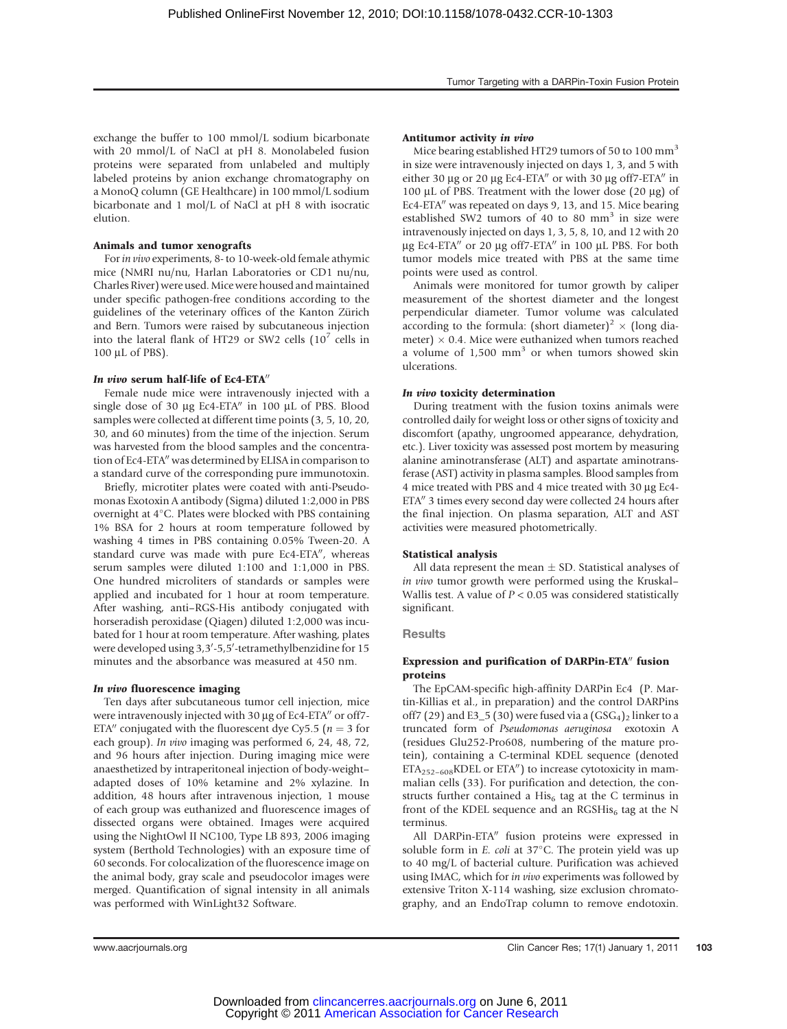exchange the buffer to 100 mmol/L sodium bicarbonate with 20 mmol/L of NaCl at pH 8. Monolabeled fusion proteins were separated from unlabeled and multiply labeled proteins by anion exchange chromatography on a MonoQ column (GE Healthcare) in 100 mmol/L sodium bicarbonate and 1 mol/L of NaCl at pH 8 with isocratic elution.

## Animals and tumor xenografts

For in vivo experiments, 8- to 10-week-old female athymic mice (NMRI nu/nu, Harlan Laboratories or CD1 nu/nu, Charles River) were used. Mice were housed and maintained under specific pathogen-free conditions according to the guidelines of the veterinary offices of the Kanton Zürich and Bern. Tumors were raised by subcutaneous injection into the lateral flank of HT29 or SW2 cells  $(10^7 \text{ cells in}$ 100 µL of PBS).

## In vivo serum half-life of Ec4-ETA $''$

Female nude mice were intravenously injected with a single dose of 30  $\mu$ g Ec4-ETA" in 100  $\mu$ L of PBS. Blood samples were collected at different time points (3, 5, 10, 20, 30, and 60 minutes) from the time of the injection. Serum was harvested from the blood samples and the concentration of Ec4-ETA" was determined by ELISA in comparison to a standard curve of the corresponding pure immunotoxin.

Briefly, microtiter plates were coated with anti-Pseudomonas Exotoxin A antibody (Sigma) diluted 1:2,000 in PBS overnight at 4°C. Plates were blocked with PBS containing 1% BSA for 2 hours at room temperature followed by washing 4 times in PBS containing 0.05% Tween-20. A standard curve was made with pure Ec4-ETA", whereas serum samples were diluted 1:100 and 1:1,000 in PBS. One hundred microliters of standards or samples were applied and incubated for 1 hour at room temperature. After washing, anti–RGS-His antibody conjugated with horseradish peroxidase (Qiagen) diluted 1:2,000 was incubated for 1 hour at room temperature. After washing, plates were developed using 3,3'-5,5'-tetramethylbenzidine for 15 minutes and the absorbance was measured at 450 nm.

## In vivo fluorescence imaging

Ten days after subcutaneous tumor cell injection, mice were intravenously injected with 30  $\mu$ g of Ec4-ETA $\prime\prime$  or off7-ETA" conjugated with the fluorescent dye Cy5.5 ( $n = 3$  for each group). In vivo imaging was performed 6, 24, 48, 72, and 96 hours after injection. During imaging mice were anaesthetized by intraperitoneal injection of body-weight– adapted doses of 10% ketamine and 2% xylazine. In addition, 48 hours after intravenous injection, 1 mouse of each group was euthanized and fluorescence images of dissected organs were obtained. Images were acquired using the NightOwl II NC100, Type LB 893, 2006 imaging system (Berthold Technologies) with an exposure time of 60 seconds. For colocalization of the fluorescence image on the animal body, gray scale and pseudocolor images were merged. Quantification of signal intensity in all animals was performed with WinLight32 Software.

## Antitumor activity in vivo

Mice bearing established HT29 tumors of 50 to 100  $\text{mm}^3$ in size were intravenously injected on days 1, 3, and 5 with either 30  $\mu$ g or 20  $\mu$ g Ec4-ETA" or with 30  $\mu$ g off7-ETA" in 100  $\mu$ L of PBS. Treatment with the lower dose (20  $\mu$ g) of Ec4-ETA" was repeated on days 9, 13, and 15. Mice bearing established SW2 tumors of 40 to 80 mm<sup>3</sup> in size were intravenously injected on days 1, 3, 5, 8, 10, and 12 with 20  $\mu$ g Ec4-ETA" or 20  $\mu$ g off7-ETA" in 100  $\mu$ L PBS. For both tumor models mice treated with PBS at the same time points were used as control.

Animals were monitored for tumor growth by caliper measurement of the shortest diameter and the longest perpendicular diameter. Tumor volume was calculated according to the formula: (short diameter)<sup>2</sup>  $\times$  (long diameter)  $\times$  0.4. Mice were euthanized when tumors reached a volume of  $1,500$  mm<sup>3</sup> or when tumors showed skin ulcerations.

## In vivo toxicity determination

During treatment with the fusion toxins animals were controlled daily for weight loss or other signs of toxicity and discomfort (apathy, ungroomed appearance, dehydration, etc.). Liver toxicity was assessed post mortem by measuring alanine aminotransferase (ALT) and aspartate aminotransferase (AST) activity in plasma samples. Blood samples from 4 mice treated with PBS and 4 mice treated with 30 µg Ec4-ETA" 3 times every second day were collected 24 hours after the final injection. On plasma separation, ALT and AST activities were measured photometrically.

## Statistical analysis

All data represent the mean  $\pm$  SD. Statistical analyses of in vivo tumor growth were performed using the Kruskal– Wallis test. A value of  $P < 0.05$  was considered statistically significant.

## **Results**

## Expression and purification of DARPin-ETA" fusion proteins

The EpCAM-specific high-affinity DARPin Ec4 (P. Martin-Killias et al., in preparation) and the control DARPins off7 (29) and E3\_5 (30) were fused via a  $(GSG<sub>4</sub>)<sub>2</sub>$  linker to a truncated form of Pseudomonas aeruginosa exotoxin A (residues Glu252-Pro608, numbering of the mature protein), containing a C-terminal KDEL sequence (denoted  $ETA_{252-608}$ KDEL or ETA") to increase cytotoxicity in mammalian cells (33). For purification and detection, the constructs further contained a  $His<sub>6</sub>$  tag at the C terminus in front of the KDEL sequence and an  $RGSH$  tag at the N terminus.

All DARPin-ETA" fusion proteins were expressed in soluble form in  $E$ . *coli* at 37 $\degree$ C. The protein yield was up to 40 mg/L of bacterial culture. Purification was achieved using IMAC, which for in vivo experiments was followed by extensive Triton X-114 washing, size exclusion chromatography, and an EndoTrap column to remove endotoxin.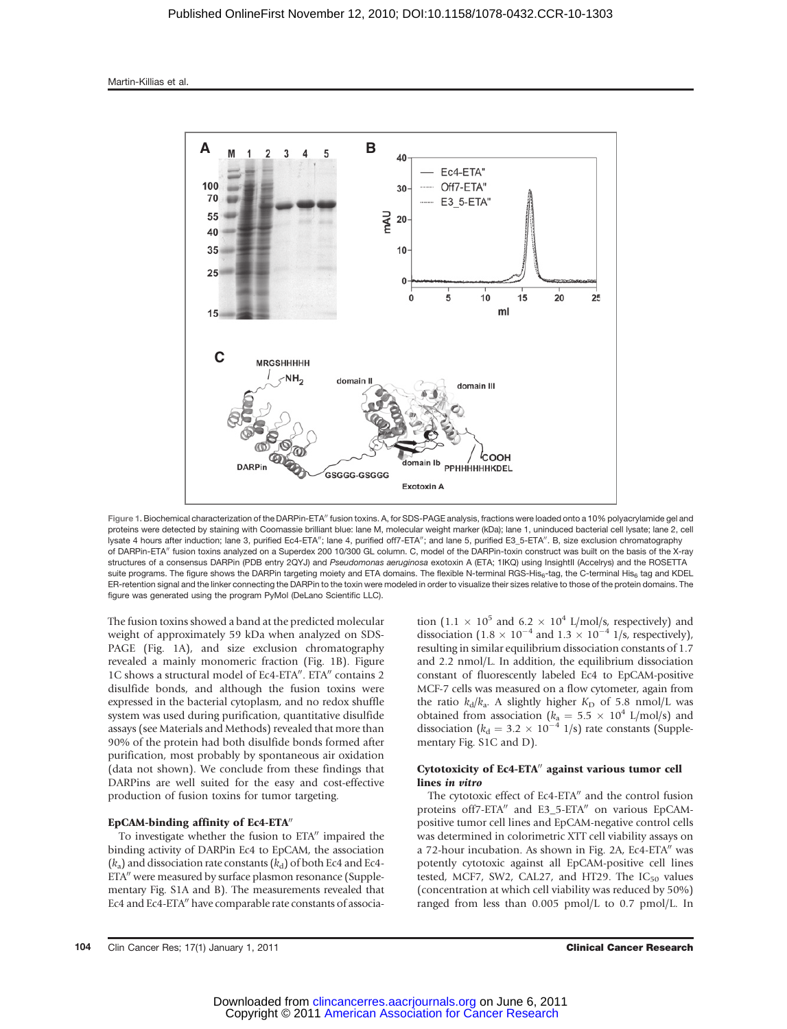

Figure 1. Biochemical characterization of the DARPin-ETA" fusion toxins. A, for SDS-PAGE analysis, fractions were loaded onto a 10% polyacrylamide gel and proteins were detected by staining with Coomassie brilliant blue: lane M, molecular weight marker (kDa); lane 1, uninduced bacterial cell lysate; lane 2, cell lysate 4 hours after induction; lane 3, purified Ec4-ETA"; lane 4, purified off7-ETA"; and lane 5, purified E3\_5-ETA". B, size exclusion chromatography of DARPin-ETA" fusion toxins analyzed on a Superdex 200 10/300 GL column. C, model of the DARPin-toxin construct was built on the basis of the X-ray structures of a consensus DARPin (PDB entry 2QYJ) and Pseudomonas aeruginosa exotoxin A (ETA; 1IKQ) using InsightII (Accelrys) and the ROSETTA suite programs. The figure shows the DARPin targeting moiety and ETA domains. The flexible N-terminal RGS-His<sub>6</sub>-tag, the C-terminal His<sub>6</sub> tag and KDEL ER-retention signal and the linker connecting the DARPin to the toxin were modeled in order to visualize their sizes relative to those of the protein domains. The figure was generated using the program PyMol (DeLano Scientific LLC).

The fusion toxins showed a band at the predicted molecular weight of approximately 59 kDa when analyzed on SDS-PAGE (Fig. 1A), and size exclusion chromatography revealed a mainly monomeric fraction (Fig. 1B). Figure 1C shows a structural model of Ec4-ETA". ETA" contains 2 disulfide bonds, and although the fusion toxins were expressed in the bacterial cytoplasm, and no redox shuffle system was used during purification, quantitative disulfide assays (see Materials and Methods) revealed that more than 90% of the protein had both disulfide bonds formed after purification, most probably by spontaneous air oxidation (data not shown). We conclude from these findings that DARPins are well suited for the easy and cost-effective production of fusion toxins for tumor targeting.

#### EpCAM-binding affinity of Ec4-ETA"

To investigate whether the fusion to ETA" impaired the binding activity of DARPin Ec4 to EpCAM, the association  $(k_a)$  and dissociation rate constants  $(k_d)$  of both Ec4 and Ec4-ETA" were measured by surface plasmon resonance (Supplementary Fig. S1A and B). The measurements revealed that Ec4 and Ec4-ETA" have comparable rate constants of association (1.1  $\times$  10<sup>5</sup> and 6.2  $\times$  10<sup>4</sup> L/mol/s, respectively) and dissociation (1.8  $\times$  10<sup>-4</sup> and 1.3  $\times$  10<sup>-4</sup> 1/s, respectively), resulting in similar equilibrium dissociation constants of 1.7 and 2.2 nmol/L. In addition, the equilibrium dissociation constant of fluorescently labeled Ec4 to EpCAM-positive MCF-7 cells was measured on a flow cytometer, again from the ratio  $k_d/k_a$ . A slightly higher  $K_D$  of 5.8 nmol/L was obtained from association ( $k_a = 5.5 \times 10^4$  L/mol/s) and dissociation ( $k_d = 3.2 \times 10^{-4}$  1/s) rate constants (Supplementary Fig. S1C and D).

## Cytotoxicity of Ec4-ETA" against various tumor cell lines in vitro

The cytotoxic effect of Ec4-ETA" and the control fusion proteins off7-ETA" and E3\_5-ETA" on various EpCAMpositive tumor cell lines and EpCAM-negative control cells was determined in colorimetric XTT cell viability assays on a 72-hour incubation. As shown in Fig. 2A, Ec4-ETA" was potently cytotoxic against all EpCAM-positive cell lines tested, MCF7, SW2, CAL27, and HT29. The  $IC_{50}$  values (concentration at which cell viability was reduced by 50%) ranged from less than 0.005 pmol/L to 0.7 pmol/L. In

104 Clin Cancer Res; 17(1) January 1, 2011 Clinical Cancer Research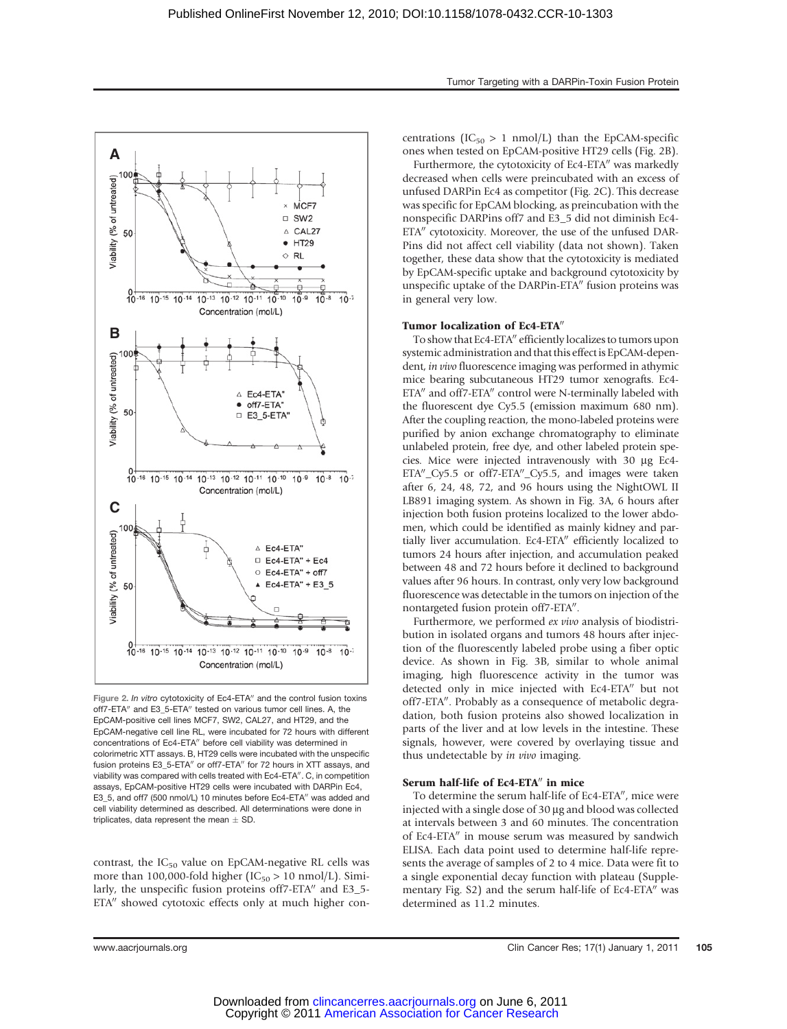

Figure 2. In vitro cytotoxicity of Ec4-ETA" and the control fusion toxins off7-ETA" and E3\_5-ETA" tested on various tumor cell lines. A, the EpCAM-positive cell lines MCF7, SW2, CAL27, and HT29, and the EpCAM-negative cell line RL, were incubated for 72 hours with different concentrations of Ec4-ETA" before cell viability was determined in colorimetric XTT assays. B, HT29 cells were incubated with the unspecific fusion proteins E3\_5-ETA" or off7-ETA" for 72 hours in XTT assays, and viability was compared with cells treated with Ec4-ETA". C, in competition assays, EpCAM-positive HT29 cells were incubated with DARPin Ec4, E3\_5, and off7 (500 nmol/L) 10 minutes before Ec4-ETA" was added and cell viability determined as described. All determinations were done in triplicates, data represent the mean  $\pm$  SD.

contrast, the  $IC_{50}$  value on EpCAM-negative RL cells was more than 100,000-fold higher ( $IC_{50} > 10$  nmol/L). Similarly, the unspecific fusion proteins off7-ETA" and E3\_5-ETA" showed cytotoxic effects only at much higher concentrations ( $IC_{50} > 1$  nmol/L) than the EpCAM-specific ones when tested on EpCAM-positive HT29 cells (Fig. 2B).

Furthermore, the cytotoxicity of Ec4-ETA" was markedly decreased when cells were preincubated with an excess of unfused DARPin Ec4 as competitor (Fig. 2C). This decrease was specific for EpCAM blocking, as preincubation with the nonspecific DARPins off7 and E3\_5 did not diminish Ec4- ETA" cytotoxicity. Moreover, the use of the unfused DAR-Pins did not affect cell viability (data not shown). Taken together, these data show that the cytotoxicity is mediated by EpCAM-specific uptake and background cytotoxicity by unspecific uptake of the DARPin-ETA" fusion proteins was in general very low.

## Tumor localization of Ec4-ETA"

To show that Ec4-ETA" efficiently localizes to tumors upon systemic administration and that this effectis EpCAM-dependent, in vivo fluorescence imaging was performed in athymic mice bearing subcutaneous HT29 tumor xenografts. Ec4- ETA" and off7-ETA" control were N-terminally labeled with the fluorescent dye Cy5.5 (emission maximum 680 nm). After the coupling reaction, the mono-labeled proteins were purified by anion exchange chromatography to eliminate unlabeled protein, free dye, and other labeled protein species. Mice were injected intravenously with 30 mg Ec4- ETA"\_Cy5.5 or off7-ETA"\_Cy5.5, and images were taken after 6, 24, 48, 72, and 96 hours using the NightOWL II LB891 imaging system. As shown in Fig. 3A, 6 hours after injection both fusion proteins localized to the lower abdomen, which could be identified as mainly kidney and partially liver accumulation. Ec4-ETA" efficiently localized to tumors 24 hours after injection, and accumulation peaked between 48 and 72 hours before it declined to background values after 96 hours. In contrast, only very low background fluorescence was detectable in the tumors on injection of the nontargeted fusion protein off7-ETA".

Furthermore, we performed ex vivo analysis of biodistribution in isolated organs and tumors 48 hours after injection of the fluorescently labeled probe using a fiber optic device. As shown in Fig. 3B, similar to whole animal imaging, high fluorescence activity in the tumor was detected only in mice injected with Ec4-ETA" but not off7-ETA". Probably as a consequence of metabolic degradation, both fusion proteins also showed localization in parts of the liver and at low levels in the intestine. These signals, however, were covered by overlaying tissue and thus undetectable by in vivo imaging.

## Serum half-life of Ec4-ETA" in mice

To determine the serum half-life of Ec4-ETA", mice were injected with a single dose of 30 µg and blood was collected at intervals between 3 and 60 minutes. The concentration of Ec4-ETA" in mouse serum was measured by sandwich ELISA. Each data point used to determine half-life represents the average of samples of 2 to 4 mice. Data were fit to a single exponential decay function with plateau (Supplementary Fig. S2) and the serum half-life of Ec4-ETA" was determined as 11.2 minutes.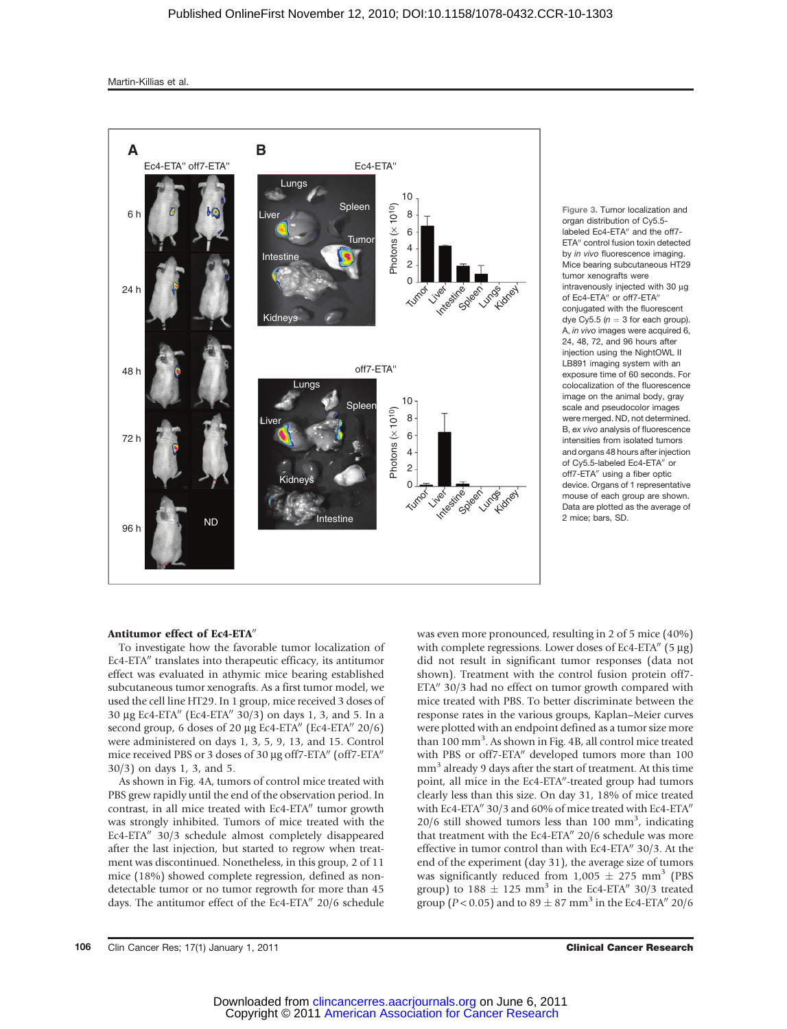

Figure 3. Tumor localization and organ distribution of Cy5.5 labeled Ec4-ETA" and the off7-ETA" control fusion toxin detected by *in vivo* fluorescence imaging. Mice bearing subcutaneous HT29 tumor xenografts were intravenously injected with 30 µg of Ec4-ETA" or off7-ETA" conjugated with the fluorescent dye Cy5.5 ( $n = 3$  for each group). A, in vivo images were acquired 6. 24, 48, 72, and 96 hours after injection using the NightOWL II LB891 imaging system with an exposure time of 60 seconds. For colocalization of the fluorescence image on the animal body, gray scale and pseudocolor images were merged. ND, not determined. B, ex vivo analysis of fluorescence intensities from isolated tumors and organs 48 hours after injection of Cy5.5-labeled Ec4-ETA" or off7-ETA" using a fiber optic device. Organs of 1 representative mouse of each group are shown. Data are plotted as the average of 2 mice; bars, SD.

#### Antitumor effect of Ec4-ETA"

To investigate how the favorable tumor localization of Ec4-ETA" translates into therapeutic efficacy, its antitumor effect was evaluated in athymic mice bearing established subcutaneous tumor xenografts. As a first tumor model, we used the cell line HT29. In 1 group, mice received 3 doses of 30 µg Ec4-ETA" (Ec4-ETA" 30/3) on days 1, 3, and 5. In a second group, 6 doses of 20  $\mu$ g Ec4-ETA" (Ec4-ETA" 20/6) were administered on days 1, 3, 5, 9, 13, and 15. Control mice received PBS or 3 doses of 30 µg off7-ETA" (off7-ETA" 30/3) on days 1, 3, and 5.

As shown in Fig. 4A, tumors of control mice treated with PBS grew rapidly until the end of the observation period. In contrast, in all mice treated with Ec4-ETA" tumor growth was strongly inhibited. Tumors of mice treated with the Ec4-ETA $\%$  30/3 schedule almost completely disappeared after the last injection, but started to regrow when treatment was discontinued. Nonetheless, in this group, 2 of 11 mice (18%) showed complete regression, defined as nondetectable tumor or no tumor regrowth for more than 45 days. The antitumor effect of the Ec4-ETA" 20/6 schedule was even more pronounced, resulting in 2 of 5 mice (40%) with complete regressions. Lower doses of Ec4-ETA $''$  (5  $\mu$ g) did not result in significant tumor responses (data not shown). Treatment with the control fusion protein off7- ETA" 30/3 had no effect on tumor growth compared with mice treated with PBS. To better discriminate between the response rates in the various groups, Kaplan–Meier curves were plotted with an endpoint defined as a tumor size more than 100 mm<sup>3</sup>. As shown in Fig. 4B, all control mice treated with PBS or off7-ETA" developed tumors more than 100 mm<sup>3</sup> already 9 days after the start of treatment. At this time point, all mice in the Ec4-ETA"-treated group had tumors clearly less than this size. On day 31, 18% of mice treated with Ec4-ETA $''$  30/3 and 60% of mice treated with Ec4-ETA $''$  $20/6$  still showed tumors less than 100 mm<sup>3</sup>, indicating that treatment with the Ec4-ETA $''$  20/6 schedule was more effective in tumor control than with Ec4-ETA $''$  30/3. At the end of the experiment (day 31), the average size of tumors was significantly reduced from  $1,005 \pm 275$  mm<sup>3</sup> (PBS group) to  $188 \pm 125$  mm<sup>3</sup> in the Ec4-ETA $^{\prime\prime}$  30/3 treated group (*P* < 0.05) and to 89  $\pm$  87 mm<sup>3</sup> in the Ec4-ETA<sup>*n*</sup> 20/6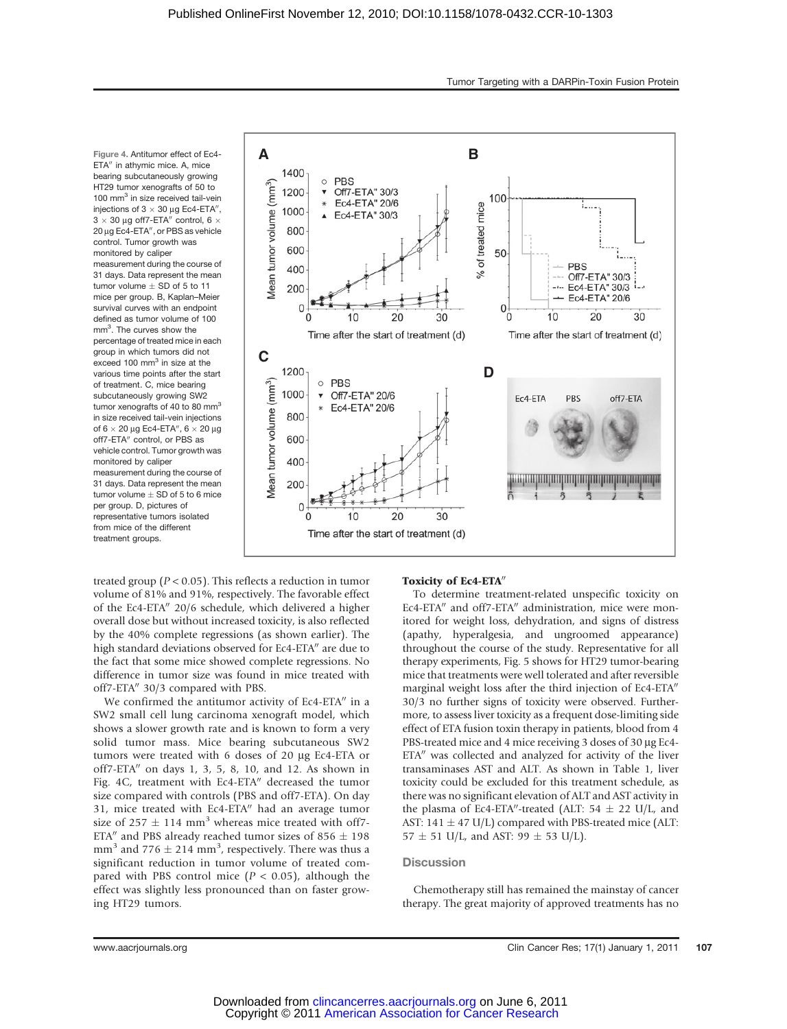Figure 4. Antitumor effect of Ec4- ETA" in athymic mice. A, mice bearing subcutaneously growing HT29 tumor xenografts of 50 to 100 mm<sup>3</sup> in size received tail-vein injections of  $3 \times 30 \mu$ g Ec4-ETA",  $3 \times 30$  µg off7-ETA" control, 6  $\times$ 20 µg Ec4-ETA", or PBS as vehicle control. Tumor growth was monitored by calipe measurement during the course of 31 days. Data represent the mean tumor volume  $\pm$  SD of 5 to 11 mice per group. B, Kaplan–Meier survival curves with an endpoint defined as tumor volume of 100 mm<sup>3</sup>. The curves show the percentage of treated mice in each group in which tumors did not exceed 100 mm<sup>3</sup> in size at the various time points after the start of treatment. C, mice bearing subcutaneously growing SW2 tumor xenografts of 40 to 80 mm<sup>3</sup> in size received tail-vein injections of  $6 \times 20 \,\mu$ g Ec4-ETA",  $6 \times 20 \,\mu$ g off7-ETA" control, or PBS as vehicle control. Tumor growth was monitored by caliper measurement during the course of 31 days. Data represent the mean tumor volume  $\pm$  SD of 5 to 6 mice per group. D, pictures of representative tumors isolated from mice of the different treatment groups.



treated group ( $P < 0.05$ ). This reflects a reduction in tumor volume of 81% and 91%, respectively. The favorable effect of the Ec4-ETA" 20/6 schedule, which delivered a higher overall dose but without increased toxicity, is also reflected by the 40% complete regressions (as shown earlier). The high standard deviations observed for Ec4-ETA" are due to the fact that some mice showed complete regressions. No difference in tumor size was found in mice treated with off7-ETA" 30/3 compared with PBS.

We confirmed the antitumor activity of Ec4-ETA" in a SW2 small cell lung carcinoma xenograft model, which shows a slower growth rate and is known to form a very solid tumor mass. Mice bearing subcutaneous SW2 tumors were treated with 6 doses of 20 mg Ec4-ETA or off7-ETA" on days 1, 3, 5, 8, 10, and 12. As shown in Fig. 4C, treatment with Ec4-ETA" decreased the tumor size compared with controls (PBS and off7-ETA). On day 31, mice treated with  $Ec4-ETA''$  had an average tumor size of 257  $\pm$  114 mm<sup>3</sup> whereas mice treated with off7-ETA" and PBS already reached tumor sizes of 856  $\pm$  198 mm<sup>3</sup> and 776  $\pm$  214 mm<sup>3</sup>, respectively. There was thus a significant reduction in tumor volume of treated compared with PBS control mice ( $P < 0.05$ ), although the effect was slightly less pronounced than on faster growing HT29 tumors.

#### Toxicity of Ec4-ETA"

To determine treatment-related unspecific toxicity on Ec4-ETA" and off7-ETA" administration, mice were monitored for weight loss, dehydration, and signs of distress (apathy, hyperalgesia, and ungroomed appearance) throughout the course of the study. Representative for all therapy experiments, Fig. 5 shows for HT29 tumor-bearing mice that treatments were well tolerated and after reversible marginal weight loss after the third injection of Ec4-ETA" 30/3 no further signs of toxicity were observed. Furthermore, to assess liver toxicity as a frequent dose-limiting side effect of ETA fusion toxin therapy in patients, blood from 4 PBS-treated mice and 4 mice receiving 3 doses of 30 µg Ec4-ETA" was collected and analyzed for activity of the liver transaminases AST and ALT. As shown in Table 1, liver toxicity could be excluded for this treatment schedule, as there was no significant elevation of ALT and AST activity in the plasma of Ec4-ETA"-treated (ALT:  $54 \pm 22$  U/L, and AST: 141  $\pm$  47 U/L) compared with PBS-treated mice (ALT:  $57 \pm 51$  U/L, and AST: 99  $\pm$  53 U/L).

#### **Discussion**

Chemotherapy still has remained the mainstay of cancer therapy. The great majority of approved treatments has no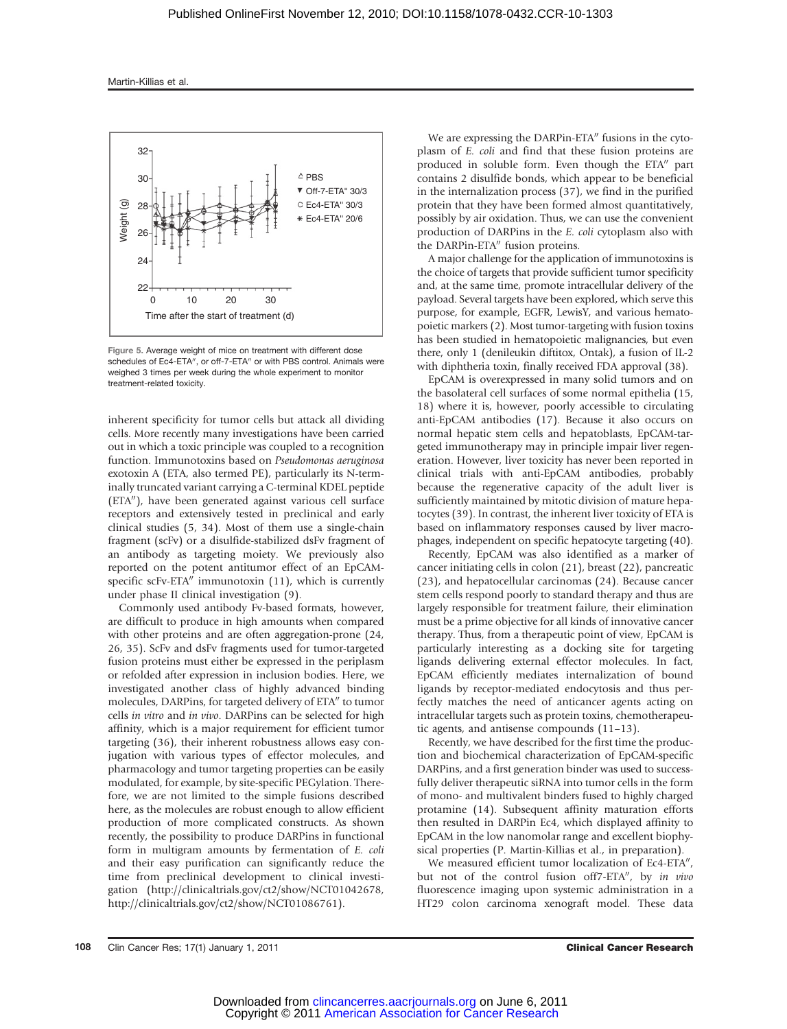

Figure 5. Average weight of mice on treatment with different dose schedules of Ec4-ETA", or off-7-ETA" or with PBS control. Animals were weighed 3 times per week during the whole experiment to monitor treatment-related toxicity.

inherent specificity for tumor cells but attack all dividing cells. More recently many investigations have been carried out in which a toxic principle was coupled to a recognition function. Immunotoxins based on Pseudomonas aeruginosa exotoxin A (ETA, also termed PE), particularly its N-terminally truncated variant carrying a C-terminal KDEL peptide (ETA"), have been generated against various cell surface receptors and extensively tested in preclinical and early clinical studies (5, 34). Most of them use a single-chain fragment (scFv) or a disulfide-stabilized dsFv fragment of an antibody as targeting moiety. We previously also reported on the potent antitumor effect of an EpCAMspecific scFv-ETA $\prime\prime$  immunotoxin (11), which is currently under phase II clinical investigation (9).

Commonly used antibody Fv-based formats, however, are difficult to produce in high amounts when compared with other proteins and are often aggregation-prone (24, 26, 35). ScFv and dsFv fragments used for tumor-targeted fusion proteins must either be expressed in the periplasm or refolded after expression in inclusion bodies. Here, we investigated another class of highly advanced binding molecules, DARPins, for targeted delivery of ETA" to tumor cells in vitro and in vivo. DARPins can be selected for high affinity, which is a major requirement for efficient tumor targeting (36), their inherent robustness allows easy conjugation with various types of effector molecules, and pharmacology and tumor targeting properties can be easily modulated, for example, by site-specific PEGylation. Therefore, we are not limited to the simple fusions described here, as the molecules are robust enough to allow efficient production of more complicated constructs. As shown recently, the possibility to produce DARPins in functional form in multigram amounts by fermentation of E. coli and their easy purification can significantly reduce the time from preclinical development to clinical investigation (http://clinicaltrials.gov/ct2/show/NCT01042678, http://clinicaltrials.gov/ct2/show/NCT01086761).

We are expressing the DARPin-ETA" fusions in the cytoplasm of E. coli and find that these fusion proteins are produced in soluble form. Even though the ETA" part contains 2 disulfide bonds, which appear to be beneficial in the internalization process (37), we find in the purified protein that they have been formed almost quantitatively, possibly by air oxidation. Thus, we can use the convenient production of DARPins in the E. coli cytoplasm also with the DARPin-ETA" fusion proteins.

A major challenge for the application of immunotoxins is the choice of targets that provide sufficient tumor specificity and, at the same time, promote intracellular delivery of the payload. Several targets have been explored, which serve this purpose, for example, EGFR, LewisY, and various hematopoietic markers (2). Most tumor-targeting with fusion toxins has been studied in hematopoietic malignancies, but even there, only 1 (denileukin diftitox, Ontak), a fusion of IL-2 with diphtheria toxin, finally received FDA approval (38).

EpCAM is overexpressed in many solid tumors and on the basolateral cell surfaces of some normal epithelia (15, 18) where it is, however, poorly accessible to circulating anti-EpCAM antibodies (17). Because it also occurs on normal hepatic stem cells and hepatoblasts, EpCAM-targeted immunotherapy may in principle impair liver regeneration. However, liver toxicity has never been reported in clinical trials with anti-EpCAM antibodies, probably because the regenerative capacity of the adult liver is sufficiently maintained by mitotic division of mature hepatocytes (39). In contrast, the inherent liver toxicity of ETA is based on inflammatory responses caused by liver macrophages, independent on specific hepatocyte targeting (40).

Recently, EpCAM was also identified as a marker of cancer initiating cells in colon (21), breast (22), pancreatic (23), and hepatocellular carcinomas (24). Because cancer stem cells respond poorly to standard therapy and thus are largely responsible for treatment failure, their elimination must be a prime objective for all kinds of innovative cancer therapy. Thus, from a therapeutic point of view, EpCAM is particularly interesting as a docking site for targeting ligands delivering external effector molecules. In fact, EpCAM efficiently mediates internalization of bound ligands by receptor-mediated endocytosis and thus perfectly matches the need of anticancer agents acting on intracellular targets such as protein toxins, chemotherapeutic agents, and antisense compounds (11–13).

Recently, we have described for the first time the production and biochemical characterization of EpCAM-specific DARPins, and a first generation binder was used to successfully deliver therapeutic siRNA into tumor cells in the form of mono- and multivalent binders fused to highly charged protamine (14). Subsequent affinity maturation efforts then resulted in DARPin Ec4, which displayed affinity to EpCAM in the low nanomolar range and excellent biophysical properties (P. Martin-Killias et al., in preparation).

We measured efficient tumor localization of Ec4-ETA", but not of the control fusion off7-ETA", by in vivo fluorescence imaging upon systemic administration in a HT29 colon carcinoma xenograft model. These data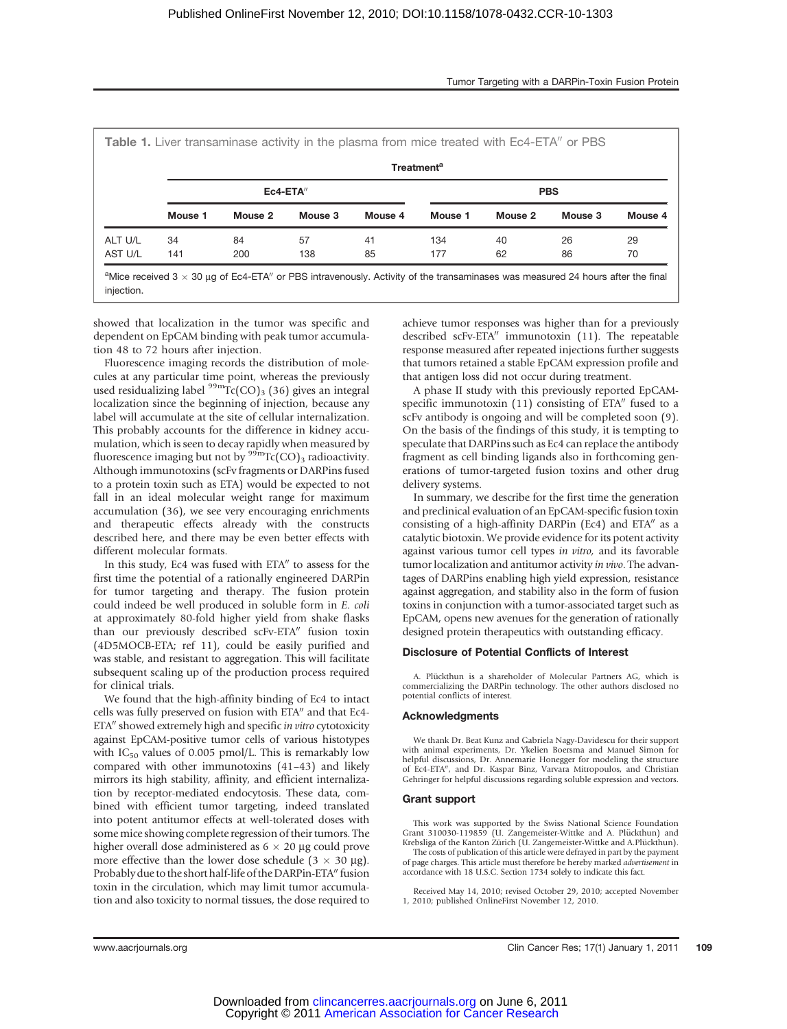|         | Table 1. Liver transaminase activity in the plasma from mice treated with Ec4-ETA" or PBS<br><b>Treatment<sup>a</sup></b> |         |         |         |            |         |         |         |  |  |  |  |
|---------|---------------------------------------------------------------------------------------------------------------------------|---------|---------|---------|------------|---------|---------|---------|--|--|--|--|
|         | $Ec4-ETA''$                                                                                                               |         |         |         | <b>PBS</b> |         |         |         |  |  |  |  |
|         | Mouse 1                                                                                                                   | Mouse 2 | Mouse 3 | Mouse 4 | Mouse 1    | Mouse 2 | Mouse 3 | Mouse 4 |  |  |  |  |
| ALT U/L | 34                                                                                                                        | 84      | 57      | 41      | 134        | 40      | 26      | 29      |  |  |  |  |
| AST U/L | 141                                                                                                                       | 200     | 138     | 85      | 177        | 62      | 86      | 70      |  |  |  |  |

or PBS intravenously. Activity of the transamina injection.

showed that localization in the tumor was specific and dependent on EpCAM binding with peak tumor accumulation 48 to 72 hours after injection.

Fluorescence imaging records the distribution of molecules at any particular time point, whereas the previously used residualizing label  $\frac{99 \text{m}}{2}$ Tc(CO)<sub>3</sub> (36) gives an integral localization since the beginning of injection, because any label will accumulate at the site of cellular internalization. This probably accounts for the difference in kidney accumulation, which is seen to decay rapidly when measured by fluorescence imaging but not by  $\frac{99m}{\text{Tr}}$  (CO)<sub>3</sub> radioactivity. Although immunotoxins (scFv fragments or DARPins fused to a protein toxin such as ETA) would be expected to not fall in an ideal molecular weight range for maximum accumulation (36), we see very encouraging enrichments and therapeutic effects already with the constructs described here, and there may be even better effects with different molecular formats.

In this study, Ec4 was fused with ETA" to assess for the first time the potential of a rationally engineered DARPin for tumor targeting and therapy. The fusion protein could indeed be well produced in soluble form in E. coli at approximately 80-fold higher yield from shake flasks than our previously described scFv-ETA" fusion toxin (4D5MOCB-ETA; ref 11), could be easily purified and was stable, and resistant to aggregation. This will facilitate subsequent scaling up of the production process required for clinical trials.

We found that the high-affinity binding of Ec4 to intact cells was fully preserved on fusion with ETA" and that Ec4-ETA" showed extremely high and specific in vitro cytotoxicity against EpCAM-positive tumor cells of various histotypes with  $IC_{50}$  values of 0.005 pmol/L. This is remarkably low compared with other immunotoxins (41–43) and likely mirrors its high stability, affinity, and efficient internalization by receptor-mediated endocytosis. These data, combined with efficient tumor targeting, indeed translated into potent antitumor effects at well-tolerated doses with some mice showing complete regression of their tumors. The higher overall dose administered as  $6 \times 20 \mu$ g could prove more effective than the lower dose schedule  $(3 \times 30 \text{ µg})$ . Probably due to the short half-life of the DARPin-ETA" fusion toxin in the circulation, which may limit tumor accumulation and also toxicity to normal tissues, the dose required to

achieve tumor responses was higher than for a previously described scFv-ETA $\prime\prime$  immunotoxin (11). The repeatable response measured after repeated injections further suggests that tumors retained a stable EpCAM expression profile and that antigen loss did not occur during treatment.

A phase II study with this previously reported EpCAMspecific immunotoxin  $(11)$  consisting of ETA $''$  fused to a scFv antibody is ongoing and will be completed soon (9). On the basis of the findings of this study, it is tempting to speculate that DARPins such as Ec4 can replace the antibody fragment as cell binding ligands also in forthcoming generations of tumor-targeted fusion toxins and other drug delivery systems.

In summary, we describe for the first time the generation and preclinical evaluation of an EpCAM-specific fusion toxin consisting of a high-affinity DARPin (Ec4) and  $ETA''$  as a catalytic biotoxin. We provide evidence for its potent activity against various tumor cell types in vitro, and its favorable tumor localization and antitumor activity in vivo. The advantages of DARPins enabling high yield expression, resistance against aggregation, and stability also in the form of fusion toxins in conjunction with a tumor-associated target such as EpCAM, opens new avenues for the generation of rationally designed protein therapeutics with outstanding efficacy.

#### Disclosure of Potential Conflicts of Interest

A. Plückthun is a shareholder of Molecular Partners AG, which is commercializing the DARPin technology. The other authors disclosed no potential conflicts of interest.

#### Acknowledgments

We thank Dr. Beat Kunz and Gabriela Nagy-Davidescu for their support with animal experiments, Dr. Ykelien Boersma and Manuel Simon for helpful discussions, Dr. Annemarie Honegger for modeling the structure of Ec4-ETA", and Dr. Kaspar Binz, Varvara Mitropoulos, and Christian<br>Gehringer for helpful discussions regarding soluble expression and vectors.

#### Grant support

This work was supported by the Swiss National Science Foundation Grant 310030-119859 (U. Zangemeister-Wittke and A. Plückthun) and Krebsliga of the Kanton Zürich (U. Zangemeister-Wittke and A.Plückthun). The costs of publication of this article were defrayed in part by the payment

of page charges. This article must therefore be hereby marked advertisement in accordance with 18 U.S.C. Section 1734 solely to indicate this fact.

Received May 14, 2010; revised October 29, 2010; accepted November 1, 2010; published OnlineFirst November 12, 2010.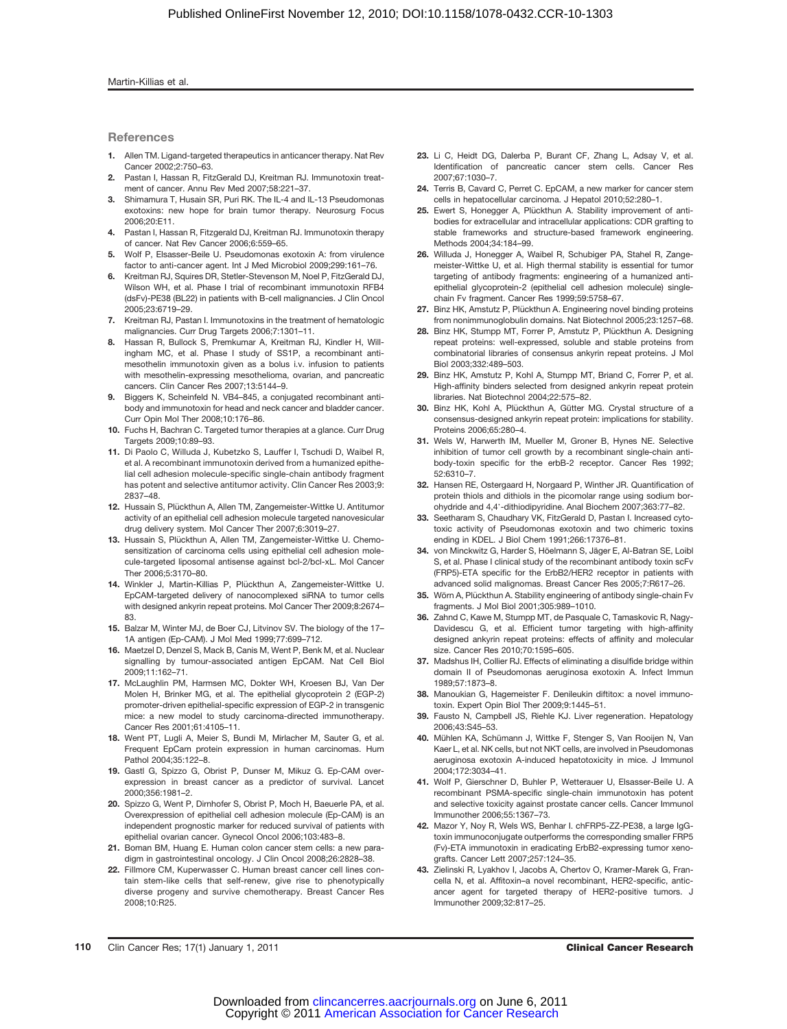#### Martin-Killias et al.

### **References**

- 1. Allen TM. Ligand-targeted therapeutics in anticancer therapy. Nat Rev Cancer 2002;2:750–63.
- 2. Pastan I, Hassan R, FitzGerald DJ, Kreitman RJ. Immunotoxin treatment of cancer. Annu Rev Med 2007;58:221–37.
- 3. Shimamura T, Husain SR, Puri RK. The IL-4 and IL-13 Pseudomonas exotoxins: new hope for brain tumor therapy. Neurosurg Focus 2006;20:E11.
- Pastan I, Hassan R, Fitzgerald DJ, Kreitman RJ. Immunotoxin therapy of cancer. Nat Rev Cancer 2006;6:559–65.
- 5. Wolf P, Elsasser-Beile U. Pseudomonas exotoxin A: from virulence factor to anti-cancer agent. Int J Med Microbiol 2009;299:161–76.
- 6. Kreitman RJ, Squires DR, Stetler-Stevenson M, Noel P, FitzGerald DJ, Wilson WH, et al. Phase I trial of recombinant immunotoxin RFB4 (dsFv)-PE38 (BL22) in patients with B-cell malignancies. J Clin Oncol 2005;23:6719–29.
- 7. Kreitman RJ, Pastan I. Immunotoxins in the treatment of hematologic malignancies. Curr Drug Targets 2006;7:1301–11.
- 8. Hassan R, Bullock S, Premkumar A, Kreitman RJ, Kindler H, Willingham MC, et al. Phase I study of SS1P, a recombinant antimesothelin immunotoxin given as a bolus i.v. infusion to patients with mesothelin-expressing mesothelioma, ovarian, and pancreatic cancers. Clin Cancer Res 2007;13:5144–9.
- 9. Biggers K, Scheinfeld N. VB4–845, a conjugated recombinant antibody and immunotoxin for head and neck cancer and bladder cancer. Curr Opin Mol Ther 2008;10:176–86.
- 10. Fuchs H, Bachran C. Targeted tumor therapies at a glance. Curr Drug Targets 2009;10:89–93.
- 11. Di Paolo C, Willuda J, Kubetzko S, Lauffer I, Tschudi D, Waibel R, et al. A recombinant immunotoxin derived from a humanized epithelial cell adhesion molecule-specific single-chain antibody fragment has potent and selective antitumor activity. Clin Cancer Res 2003;9: 2837–48.
- 12. Hussain S, Plückthun A, Allen TM, Zangemeister-Wittke U. Antitumor activity of an epithelial cell adhesion molecule targeted nanovesicular drug delivery system. Mol Cancer Ther 2007;6:3019–27.
- 13. Hussain S, Plückthun A, Allen TM, Zangemeister-Wittke U. Chemosensitization of carcinoma cells using epithelial cell adhesion molecule-targeted liposomal antisense against bcl-2/bcl-xL. Mol Cancer Ther 2006;5:3170–80.
- 14. Winkler J, Martin-Killias P, Plückthun A, Zangemeister-Wittke U. EpCAM-targeted delivery of nanocomplexed siRNA to tumor cells with designed ankyrin repeat proteins. Mol Cancer Ther 2009;8:2674– 83.
- 15. Balzar M, Winter MJ, de Boer CJ, Litvinov SV. The biology of the 17– 1A antigen (Ep-CAM). J Mol Med 1999;77:699–712.
- 16. Maetzel D, Denzel S, Mack B, Canis M, Went P, Benk M, et al. Nuclear signalling by tumour-associated antigen EpCAM. Nat Cell Biol 2009;11:162–71.
- 17. McLaughlin PM, Harmsen MC, Dokter WH, Kroesen BJ, Van Der Molen H, Brinker MG, et al. The epithelial glycoprotein 2 (EGP-2) promoter-driven epithelial-specific expression of EGP-2 in transgenic mice: a new model to study carcinoma-directed immunotherapy. Cancer Res 2001;61:4105–11.
- 18. Went PT, Lugli A, Meier S, Bundi M, Mirlacher M, Sauter G, et al. Frequent EpCam protein expression in human carcinomas. Hum Pathol 2004;35:122–8.
- 19. Gastl G, Spizzo G, Obrist P, Dunser M, Mikuz G. Ep-CAM overexpression in breast cancer as a predictor of survival. Lancet 2000;356:1981–2.
- 20. Spizzo G, Went P, Dirnhofer S, Obrist P, Moch H, Baeuerle PA, et al. Overexpression of epithelial cell adhesion molecule (Ep-CAM) is an independent prognostic marker for reduced survival of patients with epithelial ovarian cancer. Gynecol Oncol 2006;103:483–8.
- 21. Boman BM, Huang E. Human colon cancer stem cells: a new paradigm in gastrointestinal oncology. J Clin Oncol 2008;26:2828–38.
- 22. Fillmore CM, Kuperwasser C. Human breast cancer cell lines contain stem-like cells that self-renew, give rise to phenotypically diverse progeny and survive chemotherapy. Breast Cancer Res 2008;10:R25.
- 23. Li C, Heidt DG, Dalerba P, Burant CF, Zhang L, Adsay V, et al. Identification of pancreatic cancer stem cells. Cancer Res 2007;67:1030–7.
- 24. Terris B, Cavard C, Perret C. EpCAM, a new marker for cancer stem cells in hepatocellular carcinoma. J Hepatol 2010;52:280–1.
- 25. Ewert S, Honegger A, Plückthun A. Stability improvement of antibodies for extracellular and intracellular applications: CDR grafting to stable frameworks and structure-based framework engineering. Methods 2004;34:184–99.
- 26. Willuda J, Honegger A, Waibel R, Schubiger PA, Stahel R, Zangemeister-Wittke U, et al. High thermal stability is essential for tumor targeting of antibody fragments: engineering of a humanized antiepithelial glycoprotein-2 (epithelial cell adhesion molecule) singlechain Fv fragment. Cancer Res 1999;59:5758–67.
- 27. Binz HK, Amstutz P, Plückthun A. Engineering novel binding proteins from nonimmunoglobulin domains. Nat Biotechnol 2005;23:1257–68.
- 28. Binz HK, Stumpp MT, Forrer P, Amstutz P, Plückthun A. Designing repeat proteins: well-expressed, soluble and stable proteins from combinatorial libraries of consensus ankyrin repeat proteins. J Mol Biol 2003;332:489–503.
- 29. Binz HK, Amstutz P, Kohl A, Stumpp MT, Briand C, Forrer P, et al. High-affinity binders selected from designed ankyrin repeat protein libraries. Nat Biotechnol 2004;22:575–82.
- 30. Binz HK, Kohl A, Plückthun A, Gütter MG. Crystal structure of a consensus-designed ankyrin repeat protein: implications for stability. Proteins 2006;65:280–4.
- 31. Wels W, Harwerth IM, Mueller M, Groner B, Hynes NE. Selective inhibition of tumor cell growth by a recombinant single-chain antibody-toxin specific for the erbB-2 receptor. Cancer Res 1992; 52:6310–7.
- 32. Hansen RE, Ostergaard H, Norgaard P, Winther JR. Quantification of protein thiols and dithiols in the picomolar range using sodium borohydride and 4,4'-dithiodipyridine. Anal Biochem 2007;363:77–82.
- 33. Seetharam S, Chaudhary VK, FitzGerald D, Pastan I. Increased cytotoxic activity of Pseudomonas exotoxin and two chimeric toxins ending in KDEL. J Biol Chem 1991;266:17376–81.
- 34. von Minckwitz G, Harder S, Höelmann S, Jäger E, Al-Batran SE, Loibl S, et al. Phase I clinical study of the recombinant antibody toxin scFv (FRP5)-ETA specific for the ErbB2/HER2 receptor in patients with advanced solid malignomas. Breast Cancer Res 2005;7:R617–26.
- 35. Wörn A, Plückthun A. Stability engineering of antibody single-chain Fv fragments. J Mol Biol 2001;305:989–1010.
- 36. Zahnd C, Kawe M, Stumpp MT, de Pasquale C, Tamaskovic R, Nagy-Davidescu G, et al. Efficient tumor targeting with high-affinity designed ankyrin repeat proteins: effects of affinity and molecular size. Cancer Res 2010;70:1595–605.
- 37. Madshus IH, Collier RJ. Effects of eliminating a disulfide bridge within domain II of Pseudomonas aeruginosa exotoxin A. Infect Immun 1989;57:1873–8.
- 38. Manoukian G. Hagemeister F. Denileukin diftitox: a novel immunotoxin. Expert Opin Biol Ther 2009;9:1445–51.
- 39. Fausto N, Campbell JS, Riehle KJ. Liver regeneration. Hepatology 2006;43:S45–53.
- 40. Mühlen KA, Schümann J, Wittke F, Stenger S, Van Rooijen N, Van Kaer L, et al. NK cells, but not NKT cells, are involved in Pseudomonas aeruginosa exotoxin A-induced hepatotoxicity in mice. J Immunol 2004;172:3034–41.
- 41. Wolf P, Gierschner D, Buhler P, Wetterauer U, Elsasser-Beile U. A recombinant PSMA-specific single-chain immunotoxin has potent and selective toxicity against prostate cancer cells. Cancer Immunol Immunother 2006;55:1367–73.
- 42. Mazor Y, Noy R, Wels WS, Benhar I. chFRP5-ZZ-PE38, a large IgGtoxin immunoconjugate outperforms the corresponding smaller FRP5 (Fv)-ETA immunotoxin in eradicating ErbB2-expressing tumor xenografts. Cancer Lett 2007;257:124–35.
- 43. Zielinski R, Lyakhov I, Jacobs A, Chertov O, Kramer-Marek G, Francella N, et al. Affitoxin–a novel recombinant, HER2-specific, anticancer agent for targeted therapy of HER2-positive tumors. J Immunother 2009;32:817–25.

110 Clin Cancer Res; 17(1) January 1, 2011 Clinical Cancer Research Clinical Cancer Research